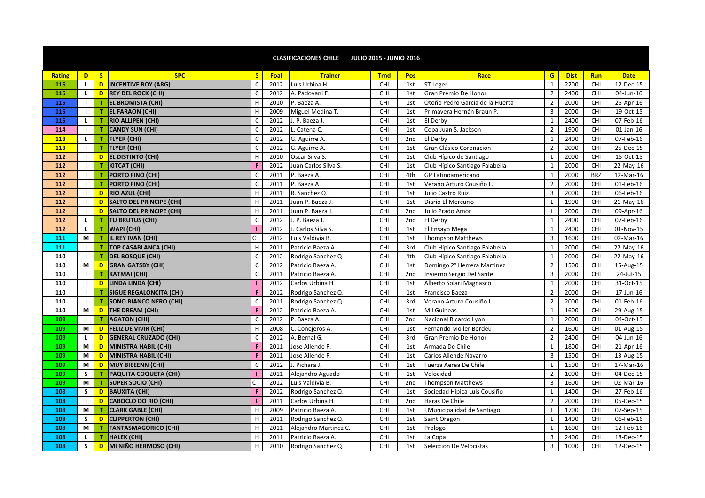|                     |  |            |      | <b>CLASIFICACIONES CHILE</b> | <b>JULIO 2015 - JUNIO 2016</b> |     |      |  |
|---------------------|--|------------|------|------------------------------|--------------------------------|-----|------|--|
| Rating <sup>1</sup> |  | <b>SPC</b> | Foal | Trainer                      | <b>Trno</b>                    | Pos | Race |  |
|                     |  |            |      |                              |                                |     |      |  |

| <b>Rating</b> | D              | S  | <b>SPC</b>                     | S  | Foal | <b>Trainer</b>        | <b>Trnd</b> | Pos             | Race                            | G              | <b>Dist</b> | <b>Run</b> | <b>Date</b>  |
|---------------|----------------|----|--------------------------------|----|------|-----------------------|-------------|-----------------|---------------------------------|----------------|-------------|------------|--------------|
| 116           | $\mathbf{L}$   | D. | <b>INCENTIVE BOY (ARG)</b>     | C  | 2012 | Luis Urbina H.        | CHI         | 1st             | <b>ST Leger</b>                 | $\mathbf{1}$   | 2200        | CHI        | 12-Dec-15    |
| 116           | L.             | D  | <b>REY DEL ROCK (CHI)</b>      | C  | 2012 | A. Padovani E.        | CHI         | 1st             | Gran Premio De Honor            | $\overline{2}$ | 2400        | CHI        | 04-Jun-16    |
| 115           | $\mathbf{I}$   | T. | <b>EL BROMISTA (CHI)</b>       | H  | 2010 | P. Baeza A.           | CHI         | 1st             | Otoño Pedro Garcia de la Huerta | $\overline{2}$ | 2000        | CHI        | 25-Apr-16    |
| 115           | $\mathbf{L}$   | T. | <b>EL FARAON (CHI)</b>         | H  | 2009 | Miguel Medina T.      | CHI         | 1st             | Primavera Hernán Braun P.       | 3              | 2000        | CHI        | 19-Oct-15    |
| 115           | $\mathbf{L}$   | T. | <b>RIO ALLIPEN (CHI)</b>       | C  | 2012 | J. P. Baeza J.        | CHI         | 1st             | El Derby                        | $1\,$          | 2400        | CHI        | 07-Feb-16    |
| 114           | $\mathbf{L}$   | т  | <b>CANDY SUN (CHI)</b>         | C  | 2012 | L. Catena C.          | CHI         | 1st             | Copa Juan S. Jackson            | $\overline{2}$ | 1900        | CHI        | $01$ -Jan-16 |
| <b>113</b>    | $\mathbf{L}$   | т  | <b>FLYER (CHI)</b>             | C  | 2012 | G. Aguirre A.         | CHI         | 2nd             | El Derby                        | $\mathbf{1}$   | 2400        | CHI        | 07-Feb-16    |
| 113           | $\mathbf{I}$   | т  | <b>FLYER (CHI)</b>             | C  | 2012 | G. Aguirre A.         | CHI         | 1st             | Gran Clásico Coronación         | $\overline{2}$ | 2000        | CHI        | 25-Dec-15    |
| 112           | $\blacksquare$ | D. | <b>EL DISTINTO (CHI)</b>       | H  | 2010 | Oscar Silva S.        | CHI         | 1st             | Club Hípico de Santiago         | L              | 2000        | CHI        | 15-Oct-15    |
| 112           | $\mathbf{I}$   | T. | <b>KITCAT (CHI)</b>            |    | 2012 | Juan Carlos Silva S.  | CHI         | 1st             | Club Hípico Santiago Falabella  | $\mathbf{1}$   | 2000        | CHI        | 22-May-16    |
| 112           | $\mathbf{I}$   | T. | PORTO FINO (CHI)               | C  | 2011 | P. Baeza A.           | CHI         | 4th             | <b>GP Latinoamericano</b>       | $\mathbf{1}$   | 2000        | <b>BRZ</b> | 12-Mar-16    |
| 112           | $\mathbf{I}$   | т  | PORTO FINO (CHI)               | C  | 2011 | P. Baeza A.           | CHI         | 1st             | Verano Arturo Cousiño L.        | $\overline{2}$ | 2000        | CHI        | 01-Feb-16    |
| 112           | $\mathbf{I}$   | D  | <b>RIO AZUL (CHI)</b>          | H  | 2011 | R. Sanchez Q.         | CHI         | 1st             | Julio Castro Ruiz               | $\overline{3}$ | 2000        | CHI        | 06-Feb-16    |
| 112           | $\mathbf{I}$   | D. | SALTO DEL PRINCIPE (CHI)       | H  | 2011 | Juan P. Baeza J.      | CHI         | 1st             | Diario El Mercurio              | $\mathsf{L}$   | 1900        | CHI        | 21-May-16    |
| 112           | $\mathbf{L}$   | D  | SALTO DEL PRINCIPE (CHI)       | H  | 2011 | Juan P. Baeza J.      | CHI         | 2 <sub>nd</sub> | Julio Prado Amor                | -L             | 2000        | <b>CHI</b> | 09-Apr-16    |
| 112           | L.             | T. | <b>TU BRUTUS (CHI)</b>         | C  | 2012 | J. P. Baeza J         | CHI         | 2 <sub>nd</sub> | El Derby                        | $\mathbf{1}$   | 2400        | CHI        | 07-Feb-16    |
| 112           | L.             | т  | <b>WAPI (CHI)</b>              | F  | 2012 | J. Carlos Silva S.    | CHI         | 1st             | El Ensayo Mega                  | 1              | 2400        | CHI        | 01-Nov-15    |
| 111           | M              | T. | IL REY IVAN (CHI)              |    | 2012 | Luis Valdivia B.      | CHI         | 1st             | <b>Thompson Matthews</b>        | 3              | 1600        | CHI        | 02-Mar-16    |
| 111           | $\mathbf{I}$   | T. | <b>TOP CASABLANCA (CHI)</b>    | H  | 2011 | Patricio Baeza A.     | CHI         | 3rd             | Club Hípico Santiago Falabella  | $\mathbf{1}$   | 2000        | CHI        | 22-May-16    |
| 110           | $\mathbf{I}$   | T. | <b>DEL BOSQUE (CHI)</b>        | C  | 2012 | Rodrigo Sanchez Q.    | CHI         | 4th             | Club Hípico Santiago Falabella  | $\mathbf{1}$   | 2000        | CHI        | 22-May-16    |
| 110           | M              | D  | <b>GRAN GATSBY (CHI)</b>       | C  | 2012 | Patricio Baeza A.     | CHI         | 1st             | Domingo 2° Herrera Martinez     | $\overline{2}$ | 1500        | CHI        | 15-Aug-15    |
| 110           | $\mathbf{I}$   | T. | <b>KATMAI (CHI)</b>            | C  | 2011 | Patricio Baeza A.     | CHI         | 2 <sub>nd</sub> | Invierno Sergio Del Sante       | 3              | 2000        | CHI        | 24-Jul-15    |
| 110           | $\mathbf{I}$   | D  | LINDA LINDA (CHI)              |    | 2012 | Carlos Urbina H       | CHI         | 1st             | Alberto Solari Magnasco         | $\mathbf{1}$   | 2000        | CHI        | 31-Oct-15    |
| 110           | $\blacksquare$ | T. | <b>SIGUE REGALONCITA (CHI)</b> | F. | 2012 | Rodrigo Sanchez Q.    | CHI         | 1st             | Francisco Baeza                 | $\overline{2}$ | 2000        | CHI        | 17-Jun-16    |
| 110           | $\mathbf{I}$   | т  | <b>SONO BIANCO NERO (CHI)</b>  | C  | 2011 | Rodrigo Sanchez Q.    | CHI         | 3rd             | Verano Arturo Cousiño L         | $\overline{2}$ | 2000        | CHI        | 01-Feb-16    |
| 110           | M              | D  | THE DREAM (CHI)                | F. | 2012 | Patricio Baeza A.     | CHI         | 1st             | Mil Guineas                     | $\mathbf{1}$   | 1600        | CHI        | 29-Aug-15    |
| 109           | $\mathbf{L}$   | T. | <b>AGATON (CHI)</b>            | с  | 2012 | P. Baeza A.           | CHI         | 2nd             | Nacional Ricardo Lyon           | $\mathbf{1}$   | 2000        | CHI        | 04-Oct-15    |
| 109           | M              | D  | <b>FELIZ DE VIVIR (CHI)</b>    | H  | 2008 | C. Conejeros A.       | CHI         | 1st             | Fernando Moller Bordeu          | $\overline{2}$ | 1600        | CHI        | 01-Aug-15    |
| 109           | L.             | D. | <b>GENERAL CRUZADO (CHI)</b>   | C  | 2012 | A. Bernal G.          | CHI         | 3rd             | Gran Premio De Honor            | $\overline{2}$ | 2400        | CHI        | 04-Jun-16    |
| 109           | M              | D. | MINISTRA HABIL (CHI)           | F. | 2011 | Jose Allende F.       | CHI         | 1st             | Armada De Chile                 | L.             | 1800        | CHI        | 21-Apr-16    |
| 109           | M              | D  | <b>MINISTRA HABIL (CHI)</b>    | F  | 2011 | Jose Allende F.       | CHI         | 1st             | Carlos Allende Navarro          | 3              | 1500        | CHI        | 13-Aug-15    |
| 109           | M              | D  | <b>MUY BIEEENN (CHI)</b>       | C  | 2012 | J. Pichara J.         | CHI         | 1st             | Fuerza Aerea De Chile           | L.             | 1500        | CHI        | 17-Mar-16    |
| 109           | S.             |    | PAQUITA COQUETA (CHI)          | F. | 2011 | Alejandro Aguado      | <b>CHI</b>  | 1st             | Velocidad                       | $\overline{2}$ | 1000        | CHI        | 04-Dec-15    |
| 109           | M              |    | <b>SUPER SOCIO (CHI)</b>       |    | 2012 | Luis Valdivia B.      | CHI         | 2nd             | <b>Thompson Matthews</b>        | $\overline{3}$ | 1600        | CHI        | 02-Mar-16    |
| 108           | S.             | D  | <b>BAUXITA (CHI)</b>           | F. | 2012 | Rodrigo Sanchez Q.    | CHI         | 1st             | Sociedad Hipica Luis Cousiño    | <b>L</b>       | 1400        | CHI        | 27-Feb-16    |
| 108           | $\mathbf{I}$   | D  | <b>CABOCLO DO RIO (CHI)</b>    |    | 2011 | Carlos Urbina H       | CHI         | 2nd             | Haras De Chile                  | $\overline{2}$ | 2000        | CHI        | 05-Dec-15    |
| 108           | M              | T. | <b>CLARK GABLE (CHI)</b>       | H  | 2009 | Patricio Baeza A.     | CHI         | 1st             | I. Municipalidad de Santiago    | $\mathbf{I}$   | 1700        | CHI        | 07-Sep-15    |
| 108           | S              | D  | <b>CLIPPERTON (CHI)</b>        | H  | 2011 | Rodrigo Sanchez Q.    | CHI         | 1st             | Saint Oregon                    | L              | 1400        | CHI        | 06-Feb-16    |
| 108           | M              | T. | <b>FANTASMAGORICO (CHI)</b>    | H  | 2011 | Alejandro Martinez C. | CHI         | 1st             | Prologo                         | <b>L</b>       | 1600        | CHI        | 12-Feb-16    |
| 108           | $\mathbf{L}$   | T. | HALEK (CHI)                    | H  | 2011 | Patricio Baeza A.     | CHI         | 1st             | La Copa                         | 3              | 2400        | CHI        | 18-Dec-15    |
| 108           | S.             | D  | MI NIÑO HERMOSO (CHI)          | H  | 2010 | Rodrigo Sanchez Q.    | CHI         | 1st             | Selección De Velocistas         | 3              | 1000        | CHI        | 12-Dec-15    |